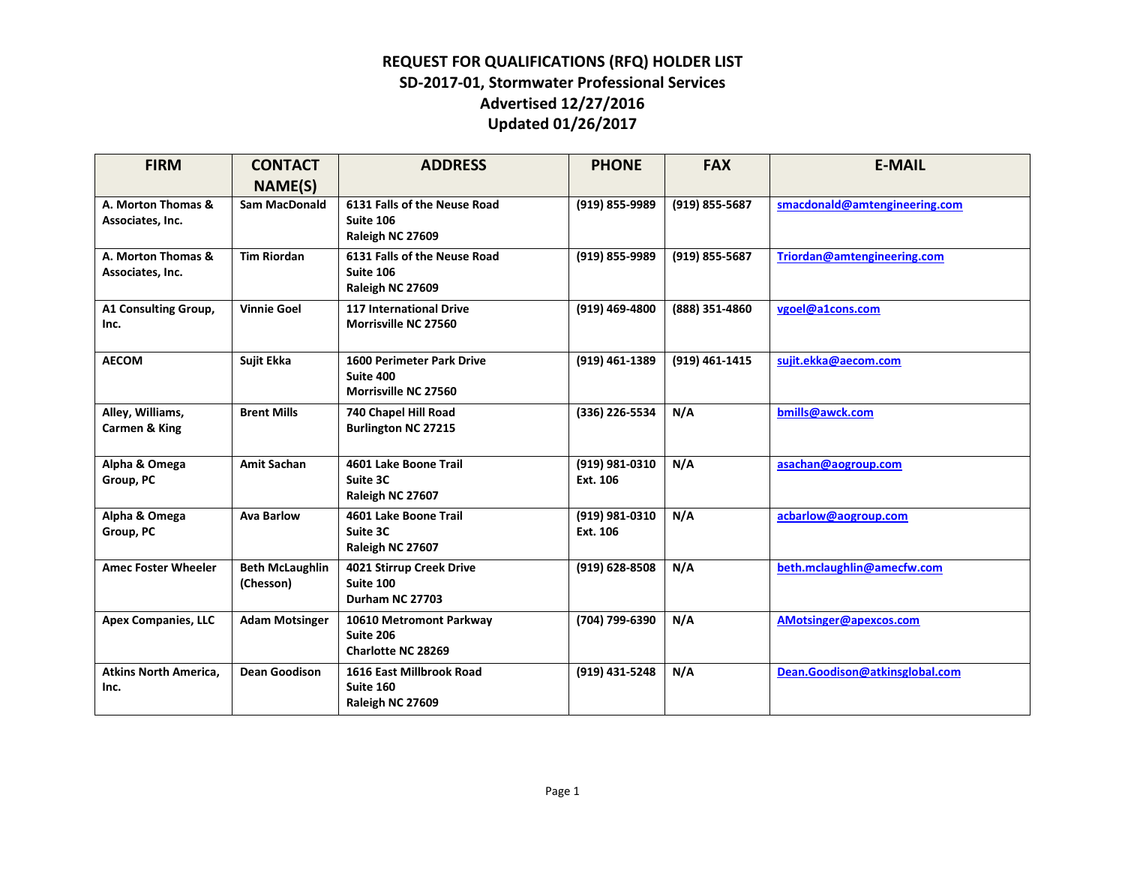| <b>FIRM</b>                            | <b>CONTACT</b>                      | <b>ADDRESS</b>                                                        | <b>PHONE</b>               | <b>FAX</b>     | <b>E-MAIL</b>                  |
|----------------------------------------|-------------------------------------|-----------------------------------------------------------------------|----------------------------|----------------|--------------------------------|
|                                        | <b>NAME(S)</b>                      |                                                                       |                            |                |                                |
| A. Morton Thomas &<br>Associates, Inc. | <b>Sam MacDonald</b>                | 6131 Falls of the Neuse Road<br>Suite 106<br>Raleigh NC 27609         | (919) 855-9989             | (919) 855-5687 | smacdonald@amtengineering.com  |
| A. Morton Thomas &<br>Associates, Inc. | <b>Tim Riordan</b>                  | 6131 Falls of the Neuse Road<br>Suite 106<br>Raleigh NC 27609         | (919) 855-9989             | (919) 855-5687 | Triordan@amtengineering.com    |
| A1 Consulting Group,<br>Inc.           | <b>Vinnie Goel</b>                  | <b>117 International Drive</b><br>Morrisville NC 27560                | (919) 469-4800             | (888) 351-4860 | vgoel@a1cons.com               |
| <b>AECOM</b>                           | Sujit Ekka                          | <b>1600 Perimeter Park Drive</b><br>Suite 400<br>Morrisville NC 27560 | (919) 461-1389             | (919) 461-1415 | sujit.ekka@aecom.com           |
| Alley, Williams,<br>Carmen & King      | <b>Brent Mills</b>                  | 740 Chapel Hill Road<br><b>Burlington NC 27215</b>                    | (336) 226-5534             | N/A            | bmills@awck.com                |
| Alpha & Omega<br>Group, PC             | <b>Amit Sachan</b>                  | 4601 Lake Boone Trail<br>Suite 3C<br>Raleigh NC 27607                 | (919) 981-0310<br>Ext. 106 | N/A            | asachan@aogroup.com            |
| Alpha & Omega<br>Group, PC             | <b>Ava Barlow</b>                   | 4601 Lake Boone Trail<br>Suite 3C<br>Raleigh NC 27607                 | (919) 981-0310<br>Ext. 106 | N/A            | acbarlow@aogroup.com           |
| <b>Amec Foster Wheeler</b>             | <b>Beth McLaughlin</b><br>(Chesson) | 4021 Stirrup Creek Drive<br>Suite 100<br>Durham NC 27703              | (919) 628-8508             | N/A            | beth.mclaughlin@amecfw.com     |
| <b>Apex Companies, LLC</b>             | <b>Adam Motsinger</b>               | 10610 Metromont Parkway<br>Suite 206<br>Charlotte NC 28269            | (704) 799-6390             | N/A            | AMotsinger@apexcos.com         |
| <b>Atkins North America,</b><br>Inc.   | <b>Dean Goodison</b>                | 1616 East Millbrook Road<br>Suite 160<br>Raleigh NC 27609             | (919) 431-5248             | N/A            | Dean.Goodison@atkinsglobal.com |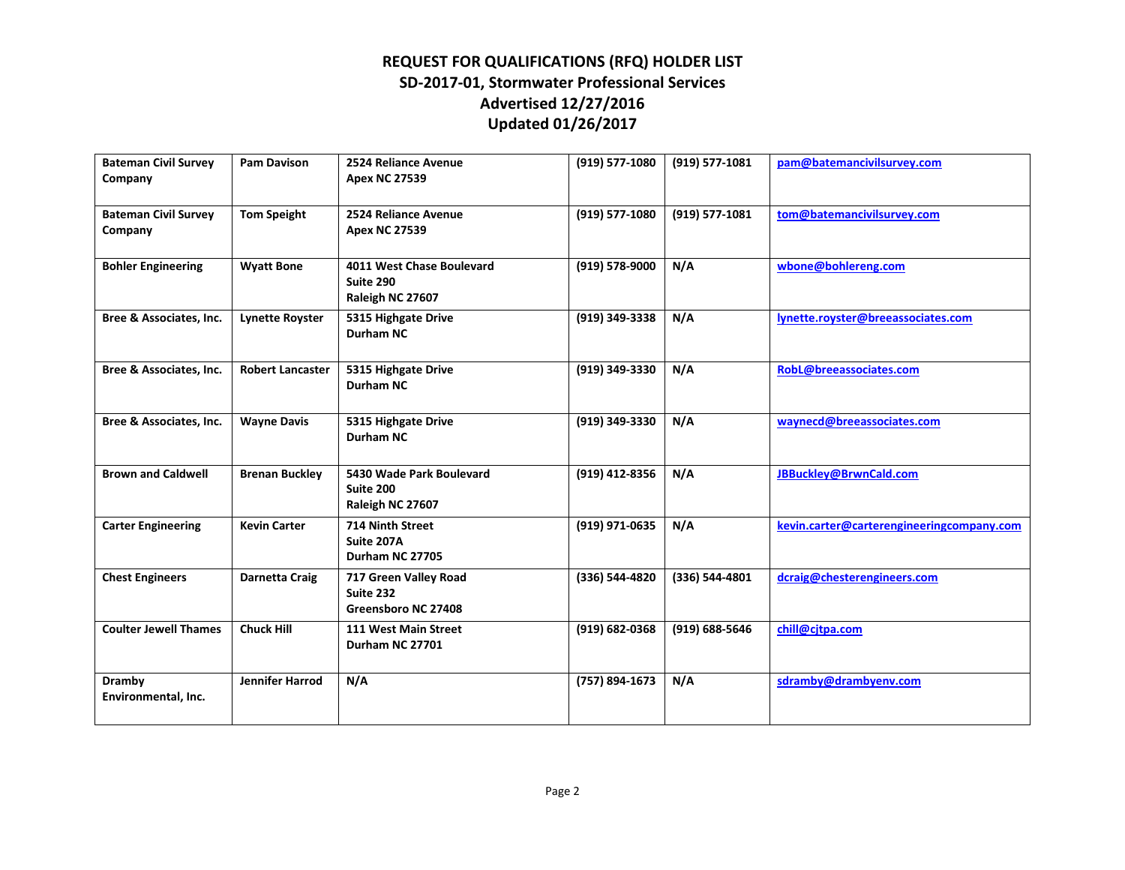| <b>Bateman Civil Survey</b><br>Company | <b>Pam Davison</b>      | 2524 Reliance Avenue<br><b>Apex NC 27539</b>               | (919) 577-1080     | (919) 577-1081 | pam@batemancivilsurvey.com                |
|----------------------------------------|-------------------------|------------------------------------------------------------|--------------------|----------------|-------------------------------------------|
| <b>Bateman Civil Survey</b><br>Company | <b>Tom Speight</b>      | 2524 Reliance Avenue<br><b>Apex NC 27539</b>               | (919) 577-1080     | (919) 577-1081 | tom@batemancivilsurvey.com                |
| <b>Bohler Engineering</b>              | <b>Wyatt Bone</b>       | 4011 West Chase Boulevard<br>Suite 290<br>Raleigh NC 27607 | (919) 578-9000     | N/A            | wbone@bohlereng.com                       |
| Bree & Associates, Inc.                | <b>Lynette Royster</b>  | 5315 Highgate Drive<br>Durham NC                           | (919) 349-3338     | N/A            | lynette.royster@breeassociates.com        |
| Bree & Associates, Inc.                | <b>Robert Lancaster</b> | 5315 Highgate Drive<br>Durham NC                           | (919) 349-3330     | N/A            | RobL@breeassociates.com                   |
| Bree & Associates, Inc.                | <b>Wayne Davis</b>      | 5315 Highgate Drive<br><b>Durham NC</b>                    | (919) 349-3330     | N/A            | waynecd@breeassociates.com                |
| <b>Brown and Caldwell</b>              | <b>Brenan Buckley</b>   | 5430 Wade Park Boulevard<br>Suite 200<br>Raleigh NC 27607  | (919) 412-8356     | N/A            | JBBuckley@BrwnCald.com                    |
| <b>Carter Engineering</b>              | <b>Kevin Carter</b>     | 714 Ninth Street<br>Suite 207A<br>Durham NC 27705          | (919) 971-0635     | N/A            | kevin.carter@carterengineeringcompany.com |
| <b>Chest Engineers</b>                 | Darnetta Craig          | 717 Green Valley Road<br>Suite 232<br>Greensboro NC 27408  | (336) 544-4820     | (336) 544-4801 | dcraig@chesterengineers.com               |
| <b>Coulter Jewell Thames</b>           | <b>Chuck Hill</b>       | 111 West Main Street<br>Durham NC 27701                    | $(919) 682 - 0368$ | (919) 688-5646 | chill@citpa.com                           |
| <b>Dramby</b><br>Environmental, Inc.   | Jennifer Harrod         | N/A                                                        | (757) 894-1673     | N/A            | sdramby@drambyenv.com                     |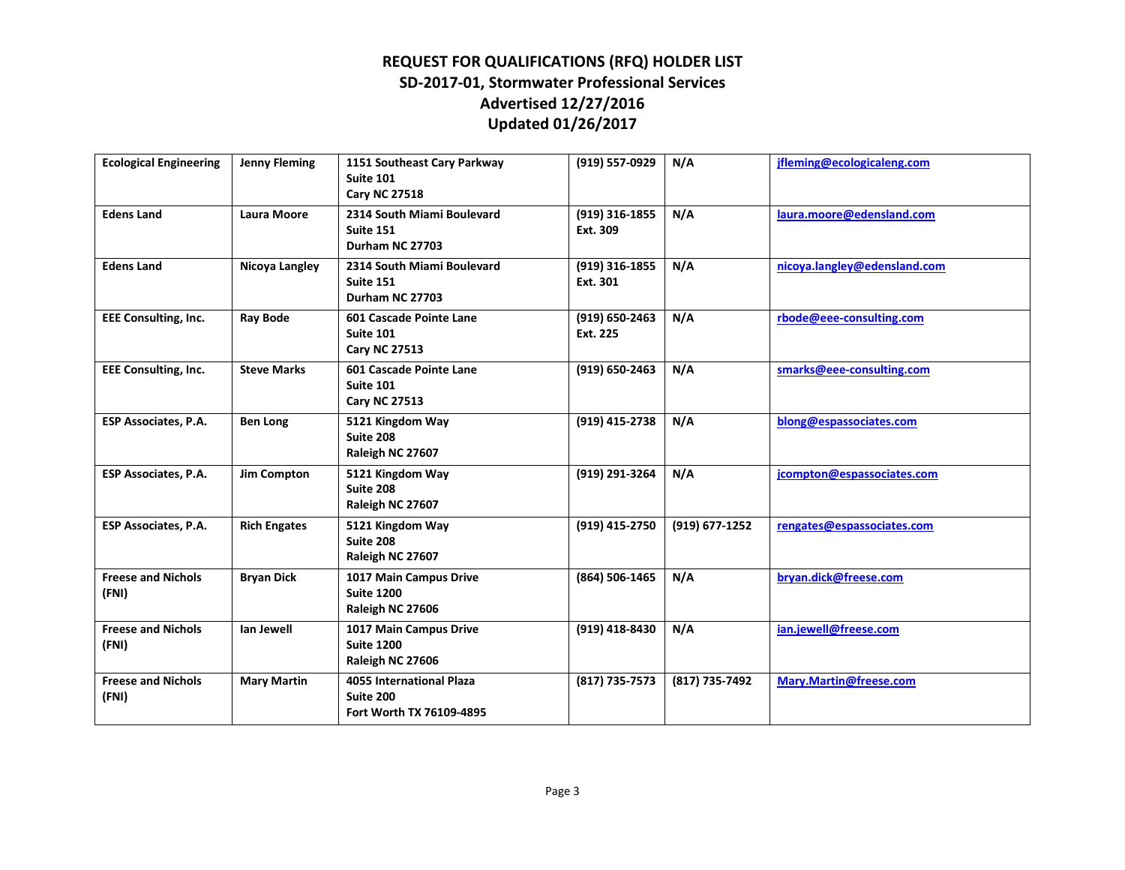| <b>Ecological Engineering</b>      | <b>Jenny Fleming</b> | 1151 Southeast Cary Parkway<br>Suite 101<br><b>Cary NC 27518</b>         | (919) 557-0929               | N/A            | jfleming@ecologicaleng.com   |
|------------------------------------|----------------------|--------------------------------------------------------------------------|------------------------------|----------------|------------------------------|
| <b>Edens Land</b>                  | <b>Laura Moore</b>   | 2314 South Miami Boulevard<br>Suite 151<br>Durham NC 27703               | (919) 316-1855<br>Ext. 309   | N/A            | laura.moore@edensland.com    |
| <b>Edens Land</b>                  | Nicoya Langley       | 2314 South Miami Boulevard<br>Suite 151<br>Durham NC 27703               | $(919)$ 316-1855<br>Ext. 301 | N/A            | nicoya.langley@edensland.com |
| <b>EEE Consulting, Inc.</b>        | <b>Ray Bode</b>      | 601 Cascade Pointe Lane<br><b>Suite 101</b><br><b>Cary NC 27513</b>      | (919) 650-2463<br>Ext. 225   | N/A            | rbode@eee-consulting.com     |
| <b>EEE Consulting, Inc.</b>        | <b>Steve Marks</b>   | 601 Cascade Pointe Lane<br>Suite 101<br><b>Cary NC 27513</b>             | $(919) 650 - 2463$           | N/A            | smarks@eee-consulting.com    |
| <b>ESP Associates, P.A.</b>        | <b>Ben Long</b>      | 5121 Kingdom Way<br>Suite 208<br>Raleigh NC 27607                        | (919) 415-2738               | N/A            | blong@espassociates.com      |
| <b>ESP Associates, P.A.</b>        | <b>Jim Compton</b>   | 5121 Kingdom Way<br>Suite 208<br>Raleigh NC 27607                        | (919) 291-3264               | N/A            | jcompton@espassociates.com   |
| <b>ESP Associates, P.A.</b>        | <b>Rich Engates</b>  | 5121 Kingdom Way<br>Suite 208<br>Raleigh NC 27607                        | (919) 415-2750               | (919) 677-1252 | rengates@espassociates.com   |
| <b>Freese and Nichols</b><br>(FNI) | <b>Bryan Dick</b>    | 1017 Main Campus Drive<br><b>Suite 1200</b><br>Raleigh NC 27606          | (864) 506-1465               | N/A            | bryan.dick@freese.com        |
| <b>Freese and Nichols</b><br>(FNI) | lan Jewell           | 1017 Main Campus Drive<br><b>Suite 1200</b><br>Raleigh NC 27606          | (919) 418-8430               | N/A            | ian.jewell@freese.com        |
| <b>Freese and Nichols</b><br>(FNI) | <b>Mary Martin</b>   | <b>4055 International Plaza</b><br>Suite 200<br>Fort Worth TX 76109-4895 | (817) 735-7573               | (817) 735-7492 | Mary.Martin@freese.com       |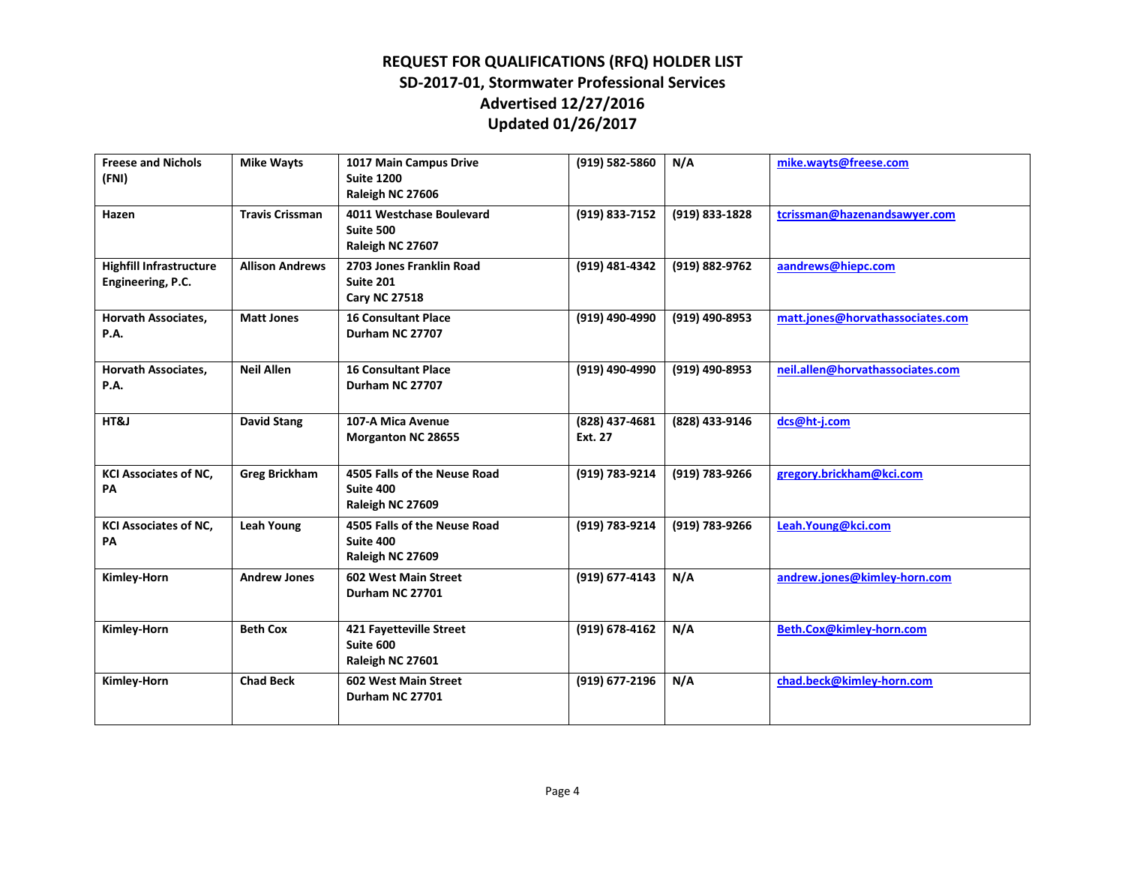| <b>Freese and Nichols</b><br>(FNI)                  | <b>Mike Wayts</b>      | 1017 Main Campus Drive<br><b>Suite 1200</b><br>Raleigh NC 27606      | (919) 582-5860            | N/A            | mike.wavts@freese.com            |
|-----------------------------------------------------|------------------------|----------------------------------------------------------------------|---------------------------|----------------|----------------------------------|
| Hazen                                               | <b>Travis Crissman</b> | 4011 Westchase Boulevard<br>Suite 500<br>Raleigh NC 27607            | (919) 833-7152            | (919) 833-1828 | tcrissman@hazenandsawyer.com     |
| <b>Highfill Infrastructure</b><br>Engineering, P.C. | <b>Allison Andrews</b> | 2703 Jones Franklin Road<br><b>Suite 201</b><br><b>Cary NC 27518</b> | (919) 481-4342            | (919) 882-9762 | aandrews@hiepc.com               |
| Horvath Associates,<br><b>P.A.</b>                  | <b>Matt Jones</b>      | <b>16 Consultant Place</b><br>Durham NC 27707                        | (919) 490-4990            | (919) 490-8953 | matt.jones@horvathassociates.com |
| <b>Horvath Associates,</b><br>P.A.                  | <b>Neil Allen</b>      | <b>16 Consultant Place</b><br>Durham NC 27707                        | (919) 490-4990            | (919) 490-8953 | neil.allen@horvathassociates.com |
| HT&J                                                | <b>David Stang</b>     | 107-A Mica Avenue<br><b>Morganton NC 28655</b>                       | (828) 437-4681<br>Ext. 27 | (828) 433-9146 | dcs@ht-j.com                     |
| <b>KCI Associates of NC,</b><br>PA                  | <b>Greg Brickham</b>   | 4505 Falls of the Neuse Road<br>Suite 400<br>Raleigh NC 27609        | (919) 783-9214            | (919) 783-9266 | gregory.brickham@kci.com         |
| <b>KCI Associates of NC,</b><br>PА                  | <b>Leah Young</b>      | 4505 Falls of the Neuse Road<br>Suite 400<br>Raleigh NC 27609        | (919) 783-9214            | (919) 783-9266 | Leah.Young@kci.com               |
| Kimley-Horn                                         | <b>Andrew Jones</b>    | 602 West Main Street<br>Durham NC 27701                              | (919) 677-4143            | N/A            | andrew.jones@kimley-horn.com     |
| <b>Kimley-Horn</b>                                  | <b>Beth Cox</b>        | 421 Fayetteville Street<br>Suite 600<br>Raleigh NC 27601             | (919) 678-4162            | N/A            | Beth.Cox@kimley-horn.com         |
| <b>Kimley-Horn</b>                                  | <b>Chad Beck</b>       | 602 West Main Street<br>Durham NC 27701                              | (919) 677-2196            | N/A            | chad.beck@kimley-horn.com        |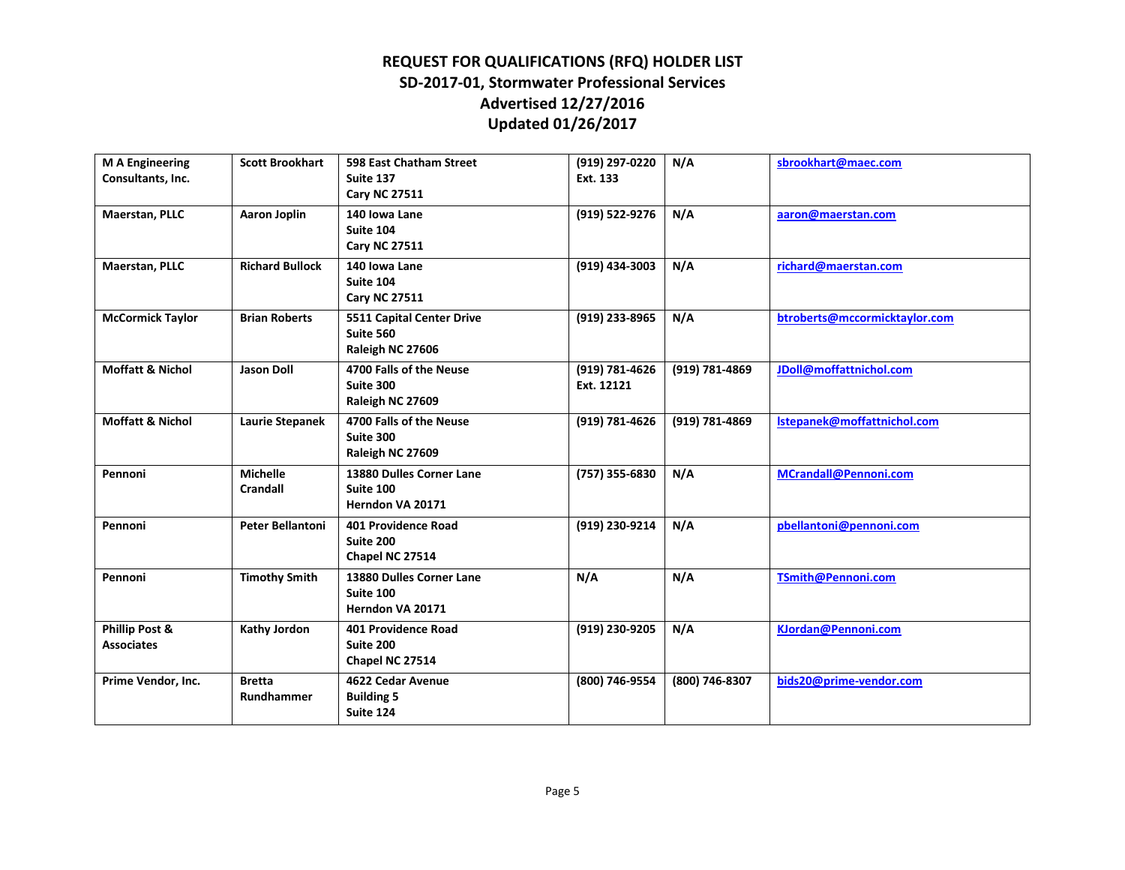| <b>M A Engineering</b><br>Consultants, Inc. | <b>Scott Brookhart</b>             | 598 East Chatham Street<br>Suite 137<br><b>Cary NC 27511</b> | (919) 297-0220<br>Ext. 133   | N/A            | sbrookhart@maec.com           |
|---------------------------------------------|------------------------------------|--------------------------------------------------------------|------------------------------|----------------|-------------------------------|
| Maerstan, PLLC                              | <b>Aaron Joplin</b>                | 140 Iowa Lane<br>Suite 104<br><b>Cary NC 27511</b>           | (919) 522-9276               | N/A            | aaron@maerstan.com            |
| Maerstan, PLLC                              | <b>Richard Bullock</b>             | 140 Iowa Lane<br>Suite 104<br><b>Cary NC 27511</b>           | (919) 434-3003               | N/A            | richard@maerstan.com          |
| <b>McCormick Taylor</b>                     | <b>Brian Roberts</b>               | 5511 Capital Center Drive<br>Suite 560<br>Raleigh NC 27606   | (919) 233-8965               | N/A            | btroberts@mccormicktaylor.com |
| <b>Moffatt &amp; Nichol</b>                 | <b>Jason Doll</b>                  | 4700 Falls of the Neuse<br>Suite 300<br>Raleigh NC 27609     | (919) 781-4626<br>Ext. 12121 | (919) 781-4869 | JDoll@moffattnichol.com       |
| <b>Moffatt &amp; Nichol</b>                 | <b>Laurie Stepanek</b>             | 4700 Falls of the Neuse<br>Suite 300<br>Raleigh NC 27609     | (919) 781-4626               | (919) 781-4869 | Istepanek@moffattnichol.com   |
| Pennoni                                     | <b>Michelle</b><br><b>Crandall</b> | 13880 Dulles Corner Lane<br>Suite 100<br>Herndon VA 20171    | (757) 355-6830               | N/A            | MCrandall@Pennoni.com         |
| Pennoni                                     | <b>Peter Bellantoni</b>            | <b>401 Providence Road</b><br>Suite 200<br>Chapel NC 27514   | (919) 230-9214               | N/A            | pbellantoni@pennoni.com       |
| Pennoni                                     | <b>Timothy Smith</b>               | 13880 Dulles Corner Lane<br>Suite 100<br>Herndon VA 20171    | N/A                          | N/A            | TSmith@Pennoni.com            |
| Phillip Post &<br><b>Associates</b>         | <b>Kathy Jordon</b>                | 401 Providence Road<br>Suite 200<br>Chapel NC 27514          | (919) 230-9205               | N/A            | KJordan@Pennoni.com           |
| Prime Vendor, Inc.                          | <b>Bretta</b><br>Rundhammer        | 4622 Cedar Avenue<br><b>Building 5</b><br>Suite 124          | (800) 746-9554               | (800) 746-8307 | bids20@prime-vendor.com       |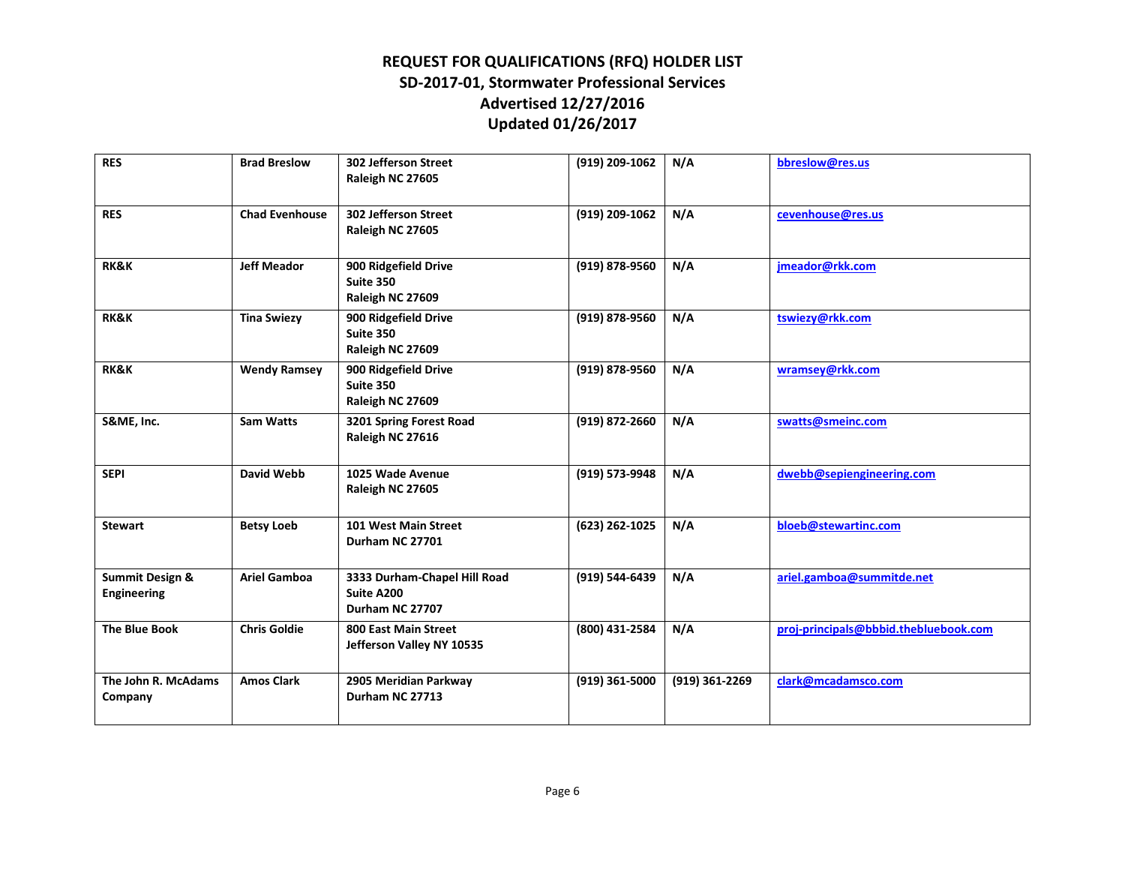| <b>RES</b>                                       | <b>Brad Breslow</b>   | 302 Jefferson Street<br>Raleigh NC 27605                      | (919) 209-1062   | N/A            | bbreslow@res.us                       |
|--------------------------------------------------|-----------------------|---------------------------------------------------------------|------------------|----------------|---------------------------------------|
| <b>RES</b>                                       | <b>Chad Evenhouse</b> | 302 Jefferson Street<br>Raleigh NC 27605                      | (919) 209-1062   | N/A            | cevenhouse@res.us                     |
| <b>RK&amp;K</b>                                  | <b>Jeff Meador</b>    | 900 Ridgefield Drive<br>Suite 350<br>Raleigh NC 27609         | (919) 878-9560   | N/A            | jmeador@rkk.com                       |
| <b>RK&amp;K</b>                                  | <b>Tina Swiezy</b>    | 900 Ridgefield Drive<br>Suite 350<br>Raleigh NC 27609         | (919) 878-9560   | N/A            | tswiezy@rkk.com                       |
| <b>RK&amp;K</b>                                  | <b>Wendy Ramsey</b>   | 900 Ridgefield Drive<br>Suite 350<br>Raleigh NC 27609         | (919) 878-9560   | N/A            | wramsey@rkk.com                       |
| S&ME, Inc.                                       | <b>Sam Watts</b>      | 3201 Spring Forest Road<br>Raleigh NC 27616                   | (919) 872-2660   | N/A            | swatts@smeinc.com                     |
| <b>SEPI</b>                                      | <b>David Webb</b>     | 1025 Wade Avenue<br>Raleigh NC 27605                          | (919) 573-9948   | N/A            | dwebb@sepiengineering.com             |
| <b>Stewart</b>                                   | <b>Betsy Loeb</b>     | 101 West Main Street<br>Durham NC 27701                       | (623) 262-1025   | N/A            | bloeb@stewartinc.com                  |
| <b>Summit Design &amp;</b><br><b>Engineering</b> | <b>Ariel Gamboa</b>   | 3333 Durham-Chapel Hill Road<br>Suite A200<br>Durham NC 27707 | (919) 544-6439   | N/A            | ariel.gamboa@summitde.net             |
| <b>The Blue Book</b>                             | <b>Chris Goldie</b>   | 800 East Main Street<br>Jefferson Valley NY 10535             | (800) 431-2584   | N/A            | proj-principals@bbbid.thebluebook.com |
| The John R. McAdams<br>Company                   | <b>Amos Clark</b>     | 2905 Meridian Parkway<br>Durham NC 27713                      | $(919)$ 361-5000 | (919) 361-2269 | clark@mcadamsco.com                   |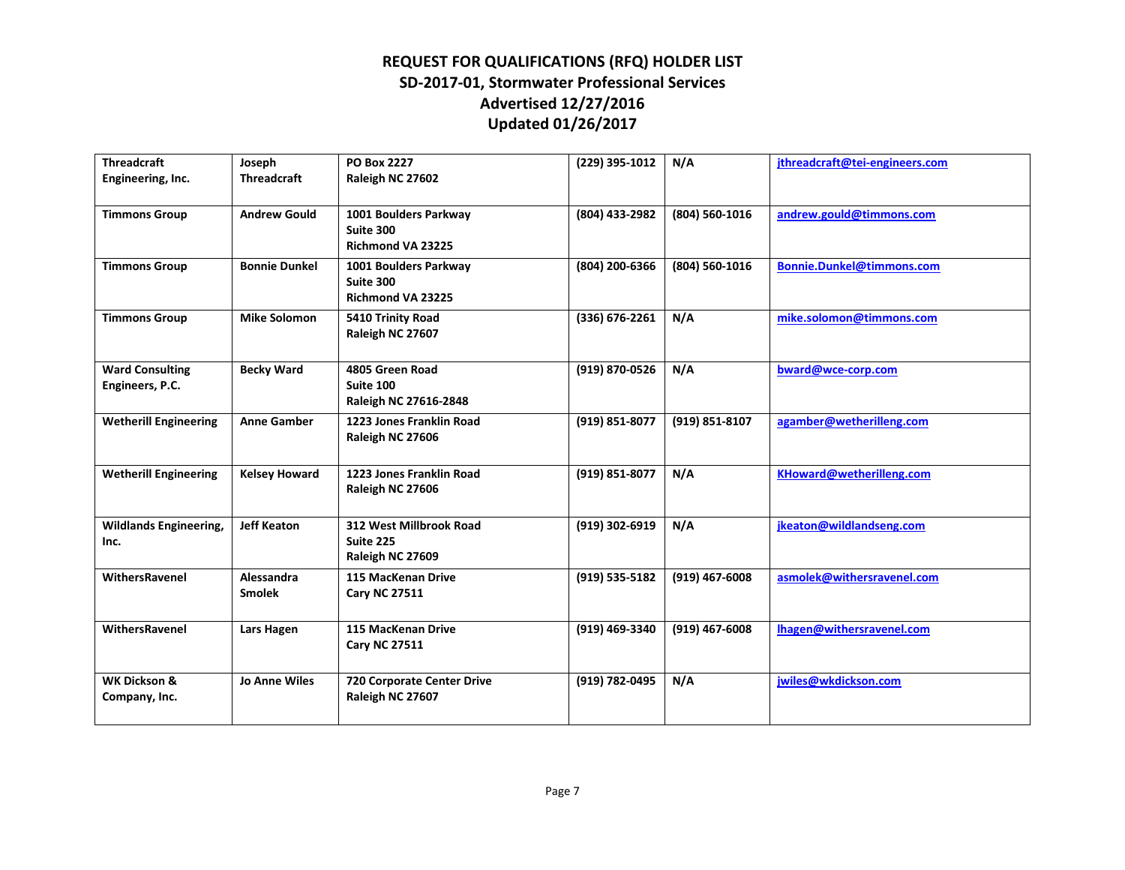| <b>Threadcraft</b>                        | Joseph                      | <b>PO Box 2227</b>                                       | (229) 395-1012 | N/A            | ithreadcraft@tei-engineers.com |
|-------------------------------------------|-----------------------------|----------------------------------------------------------|----------------|----------------|--------------------------------|
| Engineering, Inc.                         | <b>Threadcraft</b>          | Raleigh NC 27602                                         |                |                |                                |
| <b>Timmons Group</b>                      | <b>Andrew Gould</b>         | 1001 Boulders Parkway<br>Suite 300<br>Richmond VA 23225  | (804) 433-2982 | (804) 560-1016 | andrew.gould@timmons.com       |
| <b>Timmons Group</b>                      | <b>Bonnie Dunkel</b>        | 1001 Boulders Parkway<br>Suite 300<br>Richmond VA 23225  | (804) 200-6366 | (804) 560-1016 | Bonnie.Dunkel@timmons.com      |
| <b>Timmons Group</b>                      | <b>Mike Solomon</b>         | 5410 Trinity Road<br>Raleigh NC 27607                    | (336) 676-2261 | N/A            | mike.solomon@timmons.com       |
| <b>Ward Consulting</b><br>Engineers, P.C. | <b>Becky Ward</b>           | 4805 Green Road<br>Suite 100<br>Raleigh NC 27616-2848    | (919) 870-0526 | N/A            | bward@wce-corp.com             |
| <b>Wetherill Engineering</b>              | <b>Anne Gamber</b>          | 1223 Jones Franklin Road<br>Raleigh NC 27606             | (919) 851-8077 | (919) 851-8107 | agamber@wetherilleng.com       |
| <b>Wetherill Engineering</b>              | <b>Kelsey Howard</b>        | 1223 Jones Franklin Road<br>Raleigh NC 27606             | (919) 851-8077 | N/A            | KHoward@wetherilleng.com       |
| <b>Wildlands Engineering,</b><br>Inc.     | <b>Jeff Keaton</b>          | 312 West Millbrook Road<br>Suite 225<br>Raleigh NC 27609 | (919) 302-6919 | N/A            | jkeaton@wildlandseng.com       |
| WithersRavenel                            | Alessandra<br><b>Smolek</b> | 115 MacKenan Drive<br><b>Cary NC 27511</b>               | (919) 535-5182 | (919) 467-6008 | asmolek@withersravenel.com     |
| WithersRavenel                            | Lars Hagen                  | 115 MacKenan Drive<br><b>Cary NC 27511</b>               | (919) 469-3340 | (919) 467-6008 | Thagen@withersravenel.com      |
| <b>WK Dickson &amp;</b><br>Company, Inc.  | <b>Jo Anne Wiles</b>        | 720 Corporate Center Drive<br>Raleigh NC 27607           | (919) 782-0495 | N/A            | jwiles@wkdickson.com           |